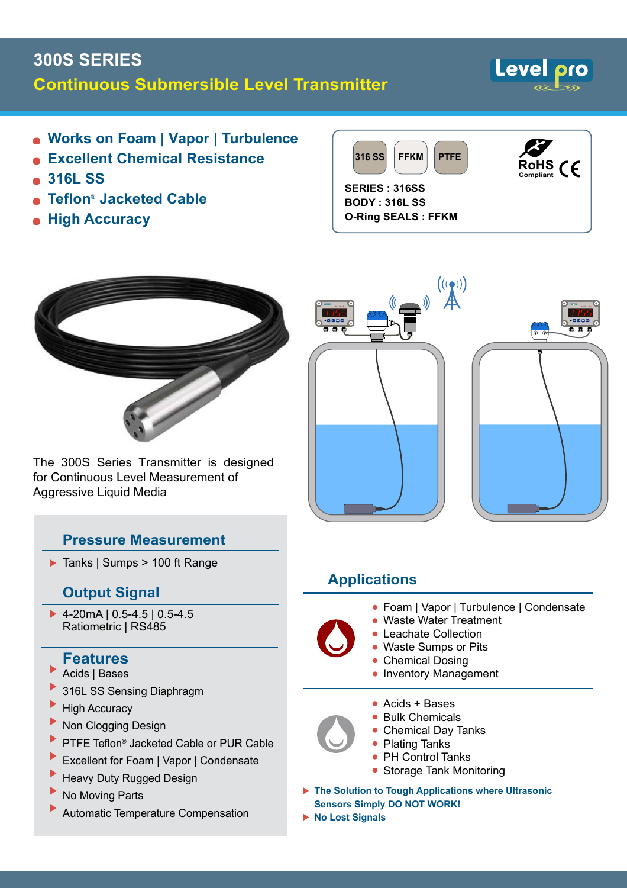# **300S SERIES Continuous Submersible Level Transmitter**



- **Works on Foam | Vapor | Turbulence**
- **Excellent Chemical Resistance**
- **316L SS**
- **Teflon ® Jacketed Cable**
- **High Accuracy**





The 300S Series Transmitter is designed for Continuous Level Measurement of Aggressive Liquid Media

### **Pressure Measurement**

▶ Tanks | Sumps > 100 ft Range

#### **Output Signal**

4-20mA | 0.5-4.5 | 0.5-4.5 Ratiometric | RS485

### **Features**

- Acids | Bases
- 316L SS Sensing Diaphragm
- High Accuracy
- Non Clogging Design
- PTFE Teflon® Jacketed Cable or PUR Cable
- Excellent for Foam | Vapor | Condensate
- Heavy Duty Rugged Design
- No Moving Parts
- Automatic Temperature Compensation



## **Applications**

- Foam | Vapor | Turbulence | Condensate
- Waste Water Treatment
- Leachate Collection •
- Waste Sumps or Pits
- Chemical Dosing • Inventory Management
- Acids + Bases •
- Bulk Chemicals
- Chemical Day Tanks
- Plating Tanks
- PH Control Tanks
- Storage Tank Monitoring
- **The Solution to Tough Applications where Ultrasonic Sensors Simply DO NOT WORK!**
- **No Lost Signals**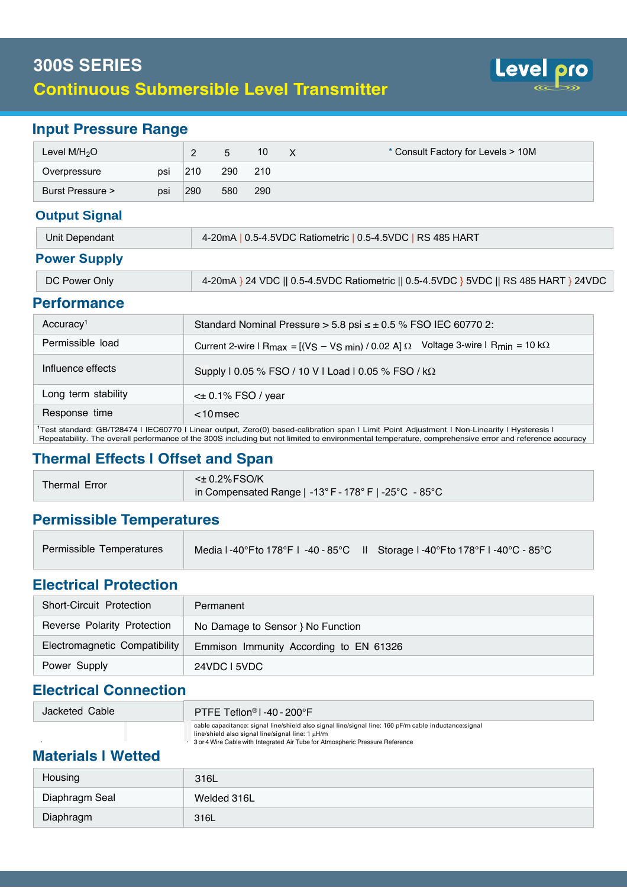

#### **Input Pressure Range**

| Level $M/H2O$    |     |     |     | 10  | x | * Consult Factory for Levels > 10M |
|------------------|-----|-----|-----|-----|---|------------------------------------|
| Overpressure     | psi | 210 | 290 | 210 |   |                                    |
| Burst Pressure > | psi | 290 | 580 | 290 |   |                                    |

#### **Output Signal**

| Unit Dependant      | 4-20mA   0.5-4.5VDC Ratiometric   0.5-4.5VDC   RS 485 HART |
|---------------------|------------------------------------------------------------|
| <b>Power Supply</b> |                                                            |

| DC Power Only | 4-20mA } 24 VDC    0.5-4.5VDC Ratiometric    0.5-4.5VDC } 5VDC    RS 485 HART } 24VDC |
|---------------|---------------------------------------------------------------------------------------|
|               |                                                                                       |

#### **Performance**

| Accuracy <sup>1</sup> | Standard Nominal Pressure $> 5.8$ psi $\leq \pm 0.5$ % FSO IEC 60770 2:                                                       |  |  |  |
|-----------------------|-------------------------------------------------------------------------------------------------------------------------------|--|--|--|
| Permissible load      | Current 2-wire I R <sub>max</sub> = $[(V_S - V_S_{min}) / 0.02 A]$ $\Omega$ Voltage 3-wire I R <sub>min</sub> = 10 k $\Omega$ |  |  |  |
| Influence effects     | Supply   0.05 % FSO / 10 V   Load   0.05 % FSO / kΩ                                                                           |  |  |  |
| Long term stability   | $\leq$ 0.1% FSO / year                                                                                                        |  |  |  |
| Response time         | $<$ 10 msec                                                                                                                   |  |  |  |

<sup>1</sup> Test standard: GB/T28474 | IEC60770 | Linear output, Zero(0) based-calibration span | Limit Point Adjustment | Non-Linearity | Hysteresis | Repeatability. The overall performance of the 300S including but not limited to environmental temperature, comprehensive error and reference accuracy

#### **Thermal Effects | Offset and Span**

| Thermal Error | $\leq$ $\pm$ 0.2% FSO/K                                                                         |
|---------------|-------------------------------------------------------------------------------------------------|
|               | in Compensated Range   -13 $^{\circ}$ F - 178 $^{\circ}$ F   -25 $^{\circ}$ C - 85 $^{\circ}$ C |

## **Permissible Temperatures**

| Permissible Temperatures |  | Media I-40°F to 178°F I-40-85°C II Storage I-40°F to 178°F I-40°C - 85°C |  |
|--------------------------|--|--------------------------------------------------------------------------|--|
|                          |  |                                                                          |  |

#### **Electrical Protection**

| Short-Circuit Protection      | Permanent                              |
|-------------------------------|----------------------------------------|
| Reverse Polarity Protection   | No Damage to Sensor } No Function      |
| Electromagnetic Compatibility | Emmison Immunity According to EN 61326 |
| Power Supply                  | 24VDC L5VDC                            |

### **Electrical Connection**

| Jacketed Cable | PTFE Teflon <sup>®</sup> $\mid$ -40 - 200°F                                                           |
|----------------|-------------------------------------------------------------------------------------------------------|
|                | cable capacitance: signal line/shield also signal line/signal line: 160 pF/m cable inductance: signal |
|                | $line/s$ hield also signal line/signal line: 1 $\mu$ H/m                                              |
|                | 3 or 4 Wire Cable with Integrated Air Tube for Atmospheric Pressure Reference                         |

#### **Materials | Wetted**

| Housing        | 316L        |
|----------------|-------------|
| Diaphragm Seal | Welded 316L |
| Diaphragm      | 316L        |